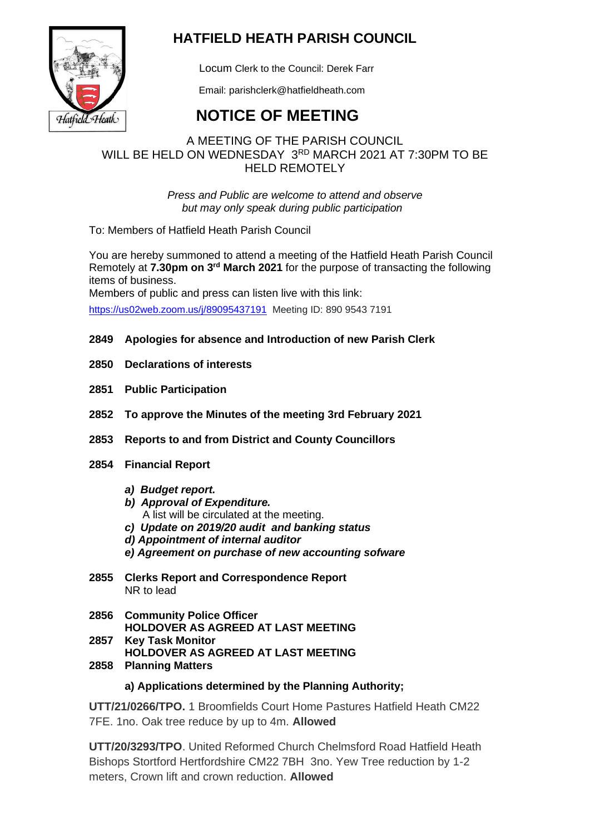

# **HATFIELD HEATH PARISH COUNCIL**

Locum Clerk to the Council: Derek Farr

Email: parishclerk@hatfieldheath.com

# **NOTICE OF MEETING**

## A MEETING OF THE PARISH COUNCIL WILL BE HELD ON WEDNESDAY 3RD MARCH 2021 AT 7:30PM TO BE HELD REMOTELY

*Press and Public are welcome to attend and observe but may only speak during public participation*

To: Members of Hatfield Heath Parish Council

You are hereby summoned to attend a meeting of the Hatfield Heath Parish Council Remotely at **7.30pm on 3 rd March 2021** for the purpose of transacting the following items of business.

Members of public and press can listen live with this link: <https://us02web.zoom.us/j/89095437191>Meeting ID: 890 9543 7191

## **2849 Apologies for absence and Introduction of new Parish Clerk**

- **2850 Declarations of interests**
- **2851 Public Participation**
- **2852 To approve the Minutes of the meeting 3rd February 2021**
- **2853 Reports to and from District and County Councillors**
- **2854 Financial Report**
	- *a) Budget report.*
	- *b) Approval of Expenditure.* 
		- A list will be circulated at the meeting.
	- *c) Update on 2019/20 audit and banking status*
	- *d) Appointment of internal auditor*
	- *e) Agreement on purchase of new accounting sofware*
- **2855 Clerks Report and Correspondence Report** NR to lead
- **2856 Community Police Officer HOLDOVER AS AGREED AT LAST MEETING 2857 Key Task Monitor**
	- **HOLDOVER AS AGREED AT LAST MEETING**
- **2858 Planning Matters**

### **a) Applications determined by the Planning Authority;**

**UTT/21/0266/TPO.** 1 Broomfields Court Home Pastures Hatfield Heath CM22 7FE. 1no. Oak tree reduce by up to 4m. **Allowed**

**UTT/20/3293/TPO**. United Reformed Church Chelmsford Road Hatfield Heath Bishops Stortford Hertfordshire CM22 7BH 3no. Yew Tree reduction by 1-2 meters, Crown lift and crown reduction. **Allowed**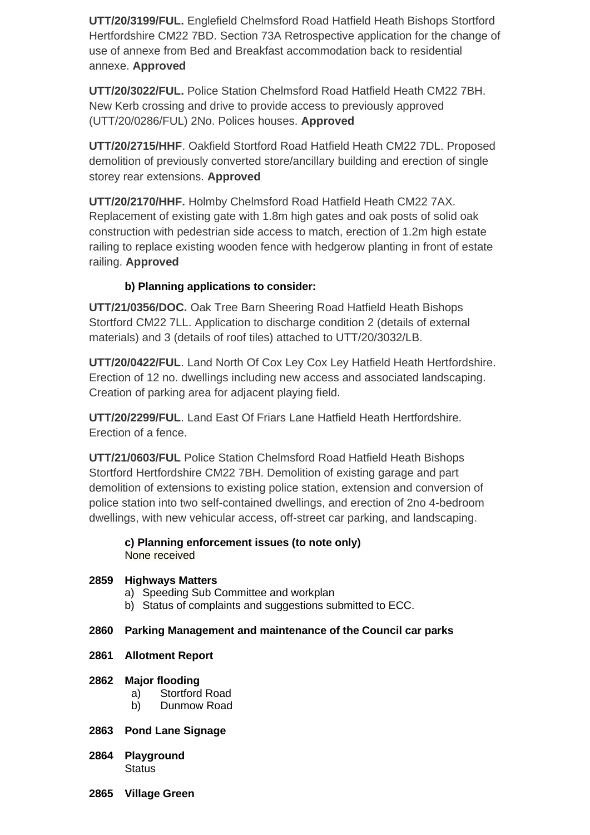**UTT/20/3199/FUL.** Englefield Chelmsford Road Hatfield Heath Bishops Stortford Hertfordshire CM22 7BD. Section 73A Retrospective application for the change of use of annexe from Bed and Breakfast accommodation back to residential annexe. **Approved**

**UTT/20/3022/FUL.** Police Station Chelmsford Road Hatfield Heath CM22 7BH. New Kerb crossing and drive to provide access to previously approved (UTT/20/0286/FUL) 2No. Polices houses. **Approved**

**UTT/20/2715/HHF**. Oakfield Stortford Road Hatfield Heath CM22 7DL. Proposed demolition of previously converted store/ancillary building and erection of single storey rear extensions. **Approved**

**UTT/20/2170/HHF.** Holmby Chelmsford Road Hatfield Heath CM22 7AX. Replacement of existing gate with 1.8m high gates and oak posts of solid oak construction with pedestrian side access to match, erection of 1.2m high estate railing to replace existing wooden fence with hedgerow planting in front of estate railing. **Approved**

## **b) Planning applications to consider:**

**UTT/21/0356/DOC.** Oak Tree Barn Sheering Road Hatfield Heath Bishops Stortford CM22 7LL. Application to discharge condition 2 (details of external materials) and 3 (details of roof tiles) attached to UTT/20/3032/LB.

**UTT/20/0422/FUL**. Land North Of Cox Ley Cox Ley Hatfield Heath Hertfordshire. Erection of 12 no. dwellings including new access and associated landscaping. Creation of parking area for adjacent playing field.

**UTT/20/2299/FUL**. Land East Of Friars Lane Hatfield Heath Hertfordshire. Erection of a fence.

**UTT/21/0603/FUL** Police Station Chelmsford Road Hatfield Heath Bishops Stortford Hertfordshire CM22 7BH. Demolition of existing garage and part demolition of extensions to existing police station, extension and conversion of police station into two self-contained dwellings, and erection of 2no 4-bedroom dwellings, with new vehicular access, off-street car parking, and landscaping.

#### **c) Planning enforcement issues (to note only)** None received

### **2859 Highways Matters**

- a) Speeding Sub Committee and workplan
- b) Status of complaints and suggestions submitted to ECC.

#### **2860 Parking Management and maintenance of the Council car parks**

**2861 Allotment Report**

#### **2862 Major flooding**

- a) Stortford Road
- b) Dunmow Road

#### **2863 Pond Lane Signage**

- **2864 Playground Status**
- **2865 Village Green**